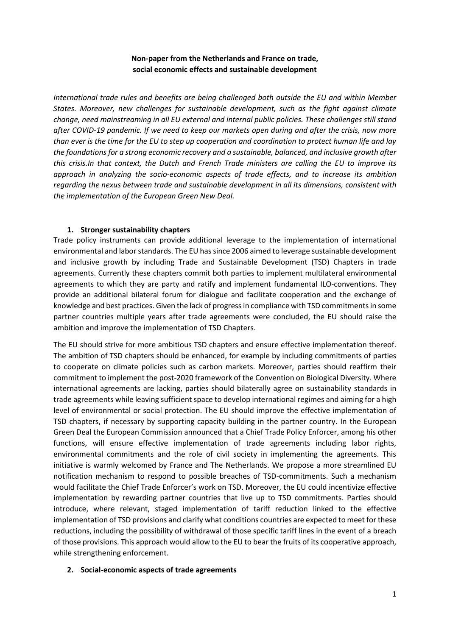# **Non-paper from the Netherlands and France on trade, social economic effects and sustainable development**

*International trade rules and benefits are being challenged both outside the EU and within Member States. Moreover, new challenges for sustainable development, such as the fight against climate change, need mainstreaming in all EU external and internal public policies. These challenges still stand after COVID-19 pandemic. If we need to keep our markets open during and after the crisis, now more than ever is the time for the EU to step up cooperation and coordination to protect human life and lay the foundations for a strong economic recovery and a sustainable, balanced, and inclusive growth after this crisis.In that context, the Dutch and French Trade ministers are calling the EU to improve its approach in analyzing the socio-economic aspects of trade effects, and to increase its ambition regarding the nexus between trade and sustainable development in all its dimensions, consistent with the implementation of the European Green New Deal.* 

### **1. Stronger sustainability chapters**

Trade policy instruments can provide additional leverage to the implementation of international environmental and laborstandards. The EU has since 2006 aimed to leverage sustainable development and inclusive growth by including Trade and Sustainable Development (TSD) Chapters in trade agreements. Currently these chapters commit both parties to implement multilateral environmental agreements to which they are party and ratify and implement fundamental ILO-conventions. They provide an additional bilateral forum for dialogue and facilitate cooperation and the exchange of knowledge and best practices. Given the lack of progress in compliance with TSD commitments in some partner countries multiple years after trade agreements were concluded, the EU should raise the ambition and improve the implementation of TSD Chapters.

The EU should strive for more ambitious TSD chapters and ensure effective implementation thereof. The ambition of TSD chapters should be enhanced, for example by including commitments of parties to cooperate on climate policies such as carbon markets. Moreover, parties should reaffirm their commitment to implement the post-2020 framework of the Convention on Biological Diversity. Where international agreements are lacking, parties should bilaterally agree on sustainability standards in trade agreements while leaving sufficient space to develop international regimes and aiming for a high level of environmental or social protection. The EU should improve the effective implementation of TSD chapters, if necessary by supporting capacity building in the partner country. In the European Green Deal the European Commission announced that a Chief Trade Policy Enforcer, among his other functions, will ensure effective implementation of trade agreements including labor rights, environmental commitments and the role of civil society in implementing the agreements. This initiative is warmly welcomed by France and The Netherlands. We propose a more streamlined EU notification mechanism to respond to possible breaches of TSD-commitments. Such a mechanism would facilitate the Chief Trade Enforcer's work on TSD. Moreover, the EU could incentivize effective implementation by rewarding partner countries that live up to TSD commitments. Parties should introduce, where relevant, staged implementation of tariff reduction linked to the effective implementation of TSD provisions and clarify what conditions countries are expected to meet for these reductions, including the possibility of withdrawal of those specific tariff lines in the event of a breach of those provisions. This approach would allow to the EU to bear the fruits of its cooperative approach, while strengthening enforcement.

## **2. Social-economic aspects of trade agreements**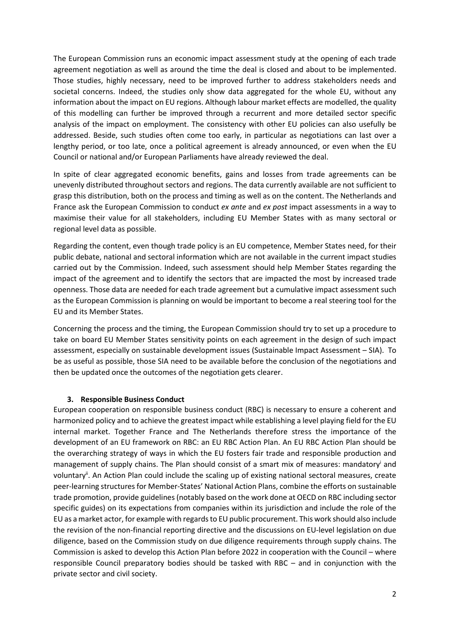The European Commission runs an economic impact assessment study at the opening of each trade agreement negotiation as well as around the time the deal is closed and about to be implemented. Those studies, highly necessary, need to be improved further to address stakeholders needs and societal concerns. Indeed, the studies only show data aggregated for the whole EU, without any information about the impact on EU regions. Although labour market effects are modelled, the quality of this modelling can further be improved through a recurrent and more detailed sector specific analysis of the impact on employment. The consistency with other EU policies can also usefully be addressed. Beside, such studies often come too early, in particular as negotiations can last over a lengthy period, or too late, once a political agreement is already announced, or even when the EU Council or national and/or European Parliaments have already reviewed the deal.

In spite of clear aggregated economic benefits, gains and losses from trade agreements can be unevenly distributed throughout sectors and regions. The data currently available are not sufficient to grasp this distribution, both on the process and timing as well as on the content. The Netherlands and France ask the European Commission to conduct *ex ante* and *ex post* impact assessments in a way to maximise their value for all stakeholders, including EU Member States with as many sectoral or regional level data as possible.

Regarding the content, even though trade policy is an EU competence, Member States need, for their public debate, national and sectoral information which are not available in the current impact studies carried out by the Commission. Indeed, such assessment should help Member States regarding the impact of the agreement and to identify the sectors that are impacted the most by increased trade openness. Those data are needed for each trade agreement but a cumulative impact assessment such as the European Commission is planning on would be important to become a real steering tool for the EU and its Member States.

Concerning the process and the timing, the European Commission should try to set up a procedure to take on board EU Member States sensitivity points on each agreement in the design of such impact assessment, especially on sustainable development issues (Sustainable Impact Assessment – SIA). To be as useful as possible, those SIA need to be available before the conclusion of the negotiations and then be updated once the outcomes of the negotiation gets clearer.

#### **3. Responsible Business Conduct**

European cooperation on responsible business conduct (RBC) is necessary to ensure a coherent and harmonized policy and to achieve the greatest impact while establishing a level playing field for the EU internal market. Together France and The Netherlands therefore stress the importance of the development of an EU framework on RBC: an EU RBC Action Plan. An EU RBC Action Plan should be the overarching strategy of ways in which the EU fosters fair trade and responsible production and management of supply chains. The Plan should consist of a smart mix of measures: mandatory and voluntaryii. An Action Plan could include the scaling up of existing national sectoral measures, create peer-learning structures for Member-States' National Action Plans, combine the efforts on sustainable trade promotion, provide guidelines (notably based on the work done at OECD on RBC including sector specific guides) on its expectations from companies within its jurisdiction and include the role of the EU as a market actor, for example with regards to EU public procurement. This work should also include the revision of the non-financial reporting directive and the discussions on EU-level legislation on due diligence, based on the Commission study on due diligence requirements through supply chains. The Commission is asked to develop this Action Plan before 2022 in cooperation with the Council – where responsible Council preparatory bodies should be tasked with RBC – and in conjunction with the private sector and civil society.